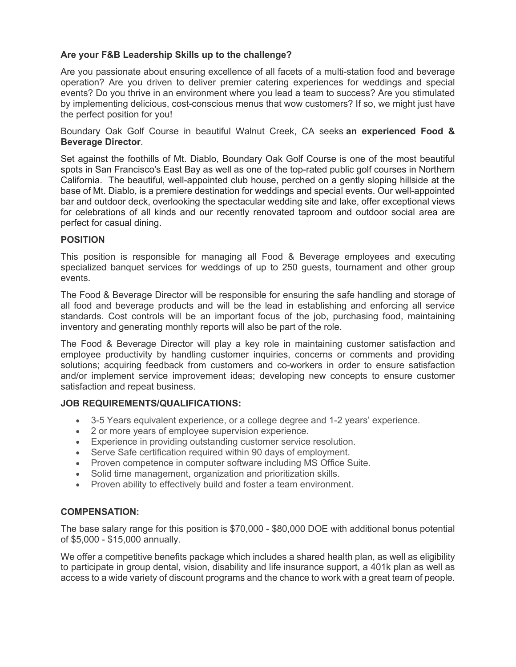## **Are your F&B Leadership Skills up to the challenge?**

Are you passionate about ensuring excellence of all facets of a multi-station food and beverage operation? Are you driven to deliver premier catering experiences for weddings and special events? Do you thrive in an environment where you lead a team to success? Are you stimulated by implementing delicious, cost-conscious menus that wow customers? If so, we might just have the perfect position for you!

Boundary Oak Golf Course in beautiful Walnut Creek, CA seeks **an experienced Food & Beverage Director**.

Set against the foothills of Mt. Diablo, Boundary Oak Golf Course is one of the most beautiful spots in San Francisco's East Bay as well as one of the top-rated public golf courses in Northern California. The beautiful, well-appointed club house, perched on a gently sloping hillside at the base of Mt. Diablo, is a premiere destination for weddings and special events. Our well-appointed bar and outdoor deck, overlooking the spectacular wedding site and lake, offer exceptional views for celebrations of all kinds and our recently renovated taproom and outdoor social area are perfect for casual dining.

## **POSITION**

This position is responsible for managing all Food & Beverage employees and executing specialized banquet services for weddings of up to 250 guests, tournament and other group events.

The Food & Beverage Director will be responsible for ensuring the safe handling and storage of all food and beverage products and will be the lead in establishing and enforcing all service standards. Cost controls will be an important focus of the job, purchasing food, maintaining inventory and generating monthly reports will also be part of the role.

The Food & Beverage Director will play a key role in maintaining customer satisfaction and employee productivity by handling customer inquiries, concerns or comments and providing solutions; acquiring feedback from customers and co-workers in order to ensure satisfaction and/or implement service improvement ideas; developing new concepts to ensure customer satisfaction and repeat business.

## **JOB REQUIREMENTS/QUALIFICATIONS:**

- 3-5 Years equivalent experience, or a college degree and 1-2 years' experience.
- 2 or more years of employee supervision experience.
- Experience in providing outstanding customer service resolution.
- Serve Safe certification required within 90 days of employment.
- Proven competence in computer software including MS Office Suite.
- Solid time management, organization and prioritization skills.
- Proven ability to effectively build and foster a team environment.

## **COMPENSATION:**

The base salary range for this position is \$70,000 - \$80,000 DOE with additional bonus potential of \$5,000 - \$15,000 annually.

We offer a competitive benefits package which includes a shared health plan, as well as eligibility to participate in group dental, vision, disability and life insurance support, a 401k plan as well as access to a wide variety of discount programs and the chance to work with a great team of people.